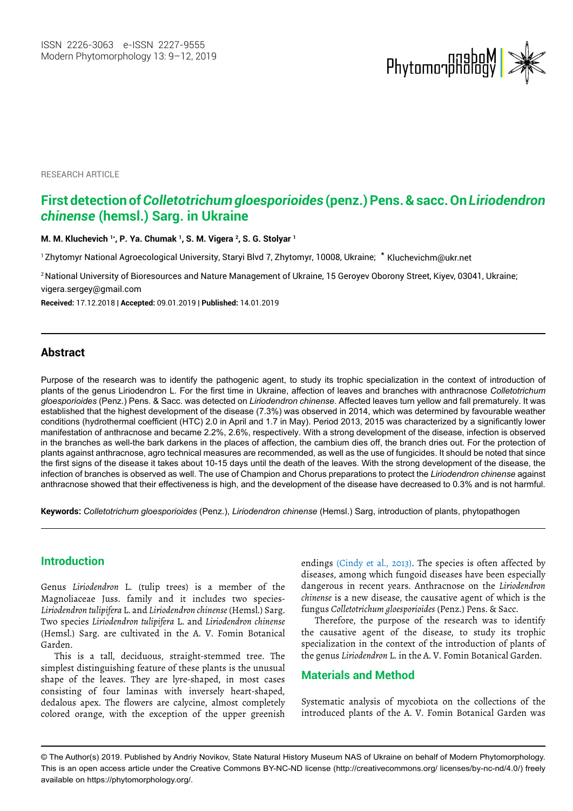

**RESEARCH ARTICLE** 

# **First detection of** *Colletotrichum gloesporioides* **(penz.) Pens. & sacc. On** *Liriodendron chinense* **(hemsl.) Sarg. in Ukraine**

**M. M. Kluchevich 1\*, P. Yа. Chumak 1, S. M. Vigera 2, S. G. Stolyar 1**

1 Zhytomyr National Agroecological University, Staryi Blvd 7, Zhytomyr, 10008, Ukraine; \* Kluchevichm@ukr.net

2 National University of Bioresources and Nature Management of Ukraine, 15 Geroyev Oborony Street, Kiyev, 03041, Ukraine; vigera.sergey@gmail.com

**Received:** 17.12.2018 | **Accepted:** 09.01.2019 | **Published:** 14.01.2019

### **Abstract**

Purpose of the research was to identify the pathogenic agent, to study its trophic specialization in the context of introduction of plants of the genus Liriodendron L. For the first time in Ukraine, affection of leaves and branches with anthracnose *Colletotrichum gloesporioides* (Penz.) Pens. & Sacc. was detected on *Liriodendron chinense*. Affected leaves turn yellow and fall prematurely. It was established that the highest development of the disease (7.3%) was observed in 2014, which was determined by favourable weather conditions (hydrothermal coefficient (HTC) 2.0 in April and 1.7 in May). Period 2013, 2015 was characterized by a significantly lower manifestation of anthracnose and became 2.2%, 2.6%, respectively. With a strong development of the disease, infection is observed in the branches as well-the bark darkens in the places of affection, the cambium dies off, the branch dries out. For the protection of plants against anthracnose, agro technical measures are recommended, as well as the use of fungicides. It should be noted that since the first signs of the disease it takes about 10-15 days until the death of the leaves. With the strong development of the disease, the infection of branches is observed as well. The use of Champion and Chorus preparations to protect the *Liriodendron chinense* against anthracnose showed that their effectiveness is high, and the development of the disease have decreased to 0.3% and is not harmful.

**Keywords:** *Colletotrichum gloesporioides* (Penz.), *Liriodendron chinense* (Hemsl.) Sarg, introduction of plants, phytopathogen

### **Introduction**

Genus *Liriodendron* L. (tulip trees) is a member of the Magnoliaceae Juss. family and it includes two species-*Liriodendron tulipifera* L. and *Liriodendron chinense* (Hemsl.) Sarg. Two species *Liriodendron tulipifera* L. and *Liriodendron chinense* (Hemsl.) Sarg. are cultivated in the A. V. Fomin Botanical Garden.

This is a tall, deciduous, straight-stemmed tree. The simplest distinguishing feature of these plants is the unusual shape of the leaves. They are lyre-shaped, in most cases consisting of four laminas with inversely heart-shaped, dedalous apex. The flowers are calycine, almost completely colored orange, with the exception of the upper greenish

endings (Cindy et al., 2013). The species is often affected by diseases, among which fungoid diseases have been especially dangerous in recent years. Anthracnose on the *Liriodendron chinense* is a new disease, the causative agent of which is the fungus *Colletotrichum gloesporioides* (Penz.) Pens. & Sacc.

Therefore, the purpose of the research was to identify the causative agent of the disease, to study its trophic specialization in the context of the introduction of plants of the genus *Liriodendron* L. in the A. V. Fomin Botanical Garden.

### **Materials and Method**

Systematic analysis of mycobiota on the collections of the introduced plants of the A. V. Fomin Botanical Garden was

<sup>©</sup> The Author(s) 2019. Published by Andriy Novikov, State Natural History Museum NAS of Ukraine on behalf of Modern Phytomorphology. This is an open access article under the Creative Commons BY-NC-ND license (http://creativecommons.org/ licenses/by-nc-nd/4.0/) freely available on https://phytomorphology.org/.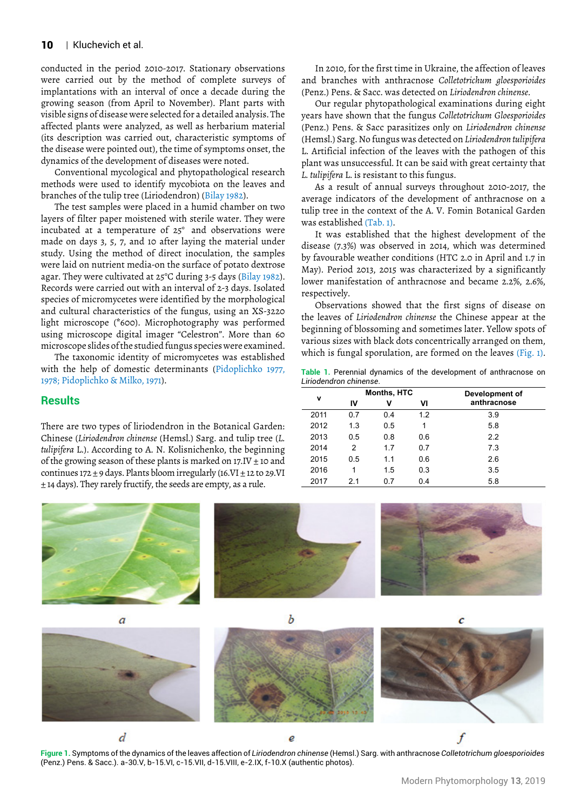conducted in the period 2010-2017. Stationary observations were carried out by the method of complete surveys of implantations with an interval of once a decade during the growing season (from April to November). Plant parts with visible signs of disease were selected for a detailed analysis. The affected plants were analyzed, as well as herbarium material (its description was carried out, characteristic symptoms of the disease were pointed out), the time of symptoms onset, the dynamics of the development of diseases were noted.

Conventional mycological and phytopathological research methods were used to identify mycobiota on the leaves and branches of the tulip tree (Liriodendron) (Bilay 1982).

The test samples were placed in a humid chamber on two layers of filter paper moistened with sterile water. They were incubated at a temperature of  $25^\circ$  and observations were made on days 3, 5, 7, and 10 after laying the material under study. Using the method of direct inoculation, the samples were laid on nutrient media-on the surface of potato dextrose agar. They were cultivated at 25°C during 3-5 days (Bilay 1982). Records were carried out with an interval of 2-3 days. Isolated species of micromycetes were identified by the morphological and cultural characteristics of the fungus, using an XS-3220 light microscope (**\***600). Microphotography was performed using microscope digital imager "Celestron". More than 60 microscope slides of the studied fungus species were examined.

The taxonomic identity of micromycetes was established with the help of domestic determinants (Pidoplichko 1977, 1978; Pidoplichko & Milko, 1971).

#### **Results**

There are two types of liriodendron in the Botanical Garden: Chinese (*Liriodendron chinense* (Hemsl.) Sarg. and tulip tree (*L. tulipifera* L.). According to A. N. Kolisnichenko, the beginning of the growing season of these plants is marked on 17.IV  $\pm$  10 and continues 172  $\pm$  9 days. Plants bloom irregularly (16.VI  $\pm$  12 to 29.VI  $± 14$  days). They rarely fructify, the seeds are empty, as a rule.

In 2010, for the first time in Ukraine, the affection of leaves and branches with anthracnose *Colletotrichum gloesporioides* (Penz.) Pens. & Sacc. was detected on *Liriodendron chinense*.

Our regular phytopathological examinations during eight years have shown that the fungus *Colletotrichum Gloesporioides* (Penz.) Pens. & Sacc parasitizes only on *Liriodendron chinense* (Hemsl.) Sarg. No fungus was detected on *Liriodendron tulipifera* L. Artificial infection of the leaves with the pathogen of this plant was unsuccessful. It can be said with great certainty that *L. tulipifera* L. is resistant to this fungus.

As a result of annual surveys throughout 2010-2017, the average indicators of the development of anthracnose on a tulip tree in the context of the A. V. Fomin Botanical Garden was established (Tab. 1).

It was established that the highest development of the disease (7.3%) was observed in 2014, which was determined by favourable weather conditions (HTC 2.0 in April and 1.7 in May). Period 2013, 2015 was characterized by a significantly lower manifestation of anthracnose and became 2.2%, 2.6%, respectively.

Observations showed that the first signs of disease on the leaves of *Liriodendron chinense* the Chinese appear at the beginning of blossoming and sometimes later. Yellow spots of various sizes with black dots concentrically arranged on them, which is fungal sporulation, are formed on the leaves (Fig. 1).

|                        |  |  |  | Table 1. Perennial dynamics of the development of anthracnose on |  |
|------------------------|--|--|--|------------------------------------------------------------------|--|
| Liriodendron chinense. |  |  |  |                                                                  |  |

|      |     | <b>Months, HTC</b> |     | Development of |  |  |
|------|-----|--------------------|-----|----------------|--|--|
| v    | IV  | ٧                  | ٧I  | anthracnose    |  |  |
| 2011 | 0.7 | 0.4                | 1.2 | 3.9            |  |  |
| 2012 | 1.3 | 0.5                | 1   | 5.8            |  |  |
| 2013 | 0.5 | 0.8                | 0.6 | 2.2            |  |  |
| 2014 | 2   | 1.7                | 0.7 | 7.3            |  |  |
| 2015 | 0.5 | 1.1                | 0.6 | 2.6            |  |  |
| 2016 | 1   | 1.5                | 0.3 | 3.5            |  |  |
| 2017 | 21  | 0.7                | 0.4 | 5.8            |  |  |



**Figure 1.** Symptoms of the dynamics of the leaves affection of *Liriodendron chinense* (Hemsl.) Sarg. with anthracnose *Colletotrichum gloesporioides* (Penz.) Pens. & Sacc.). a-30.V, b-15.VI, c-15.VII, d-15.VIII, e-2.IX, f-10.X (authentic photos).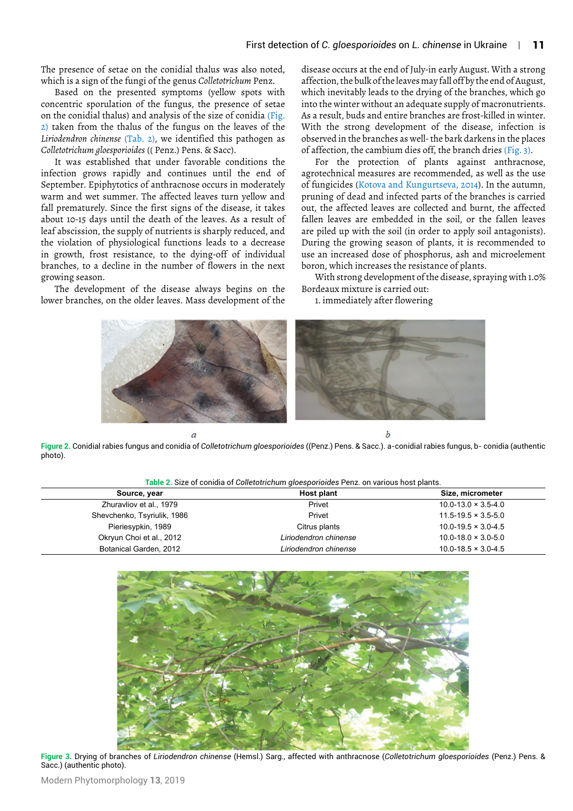The presence of setae on the conidial thalus was also noted, which is a sign of the fungi of the genus *Colletotrichum* Penz.

Based on the presented symptoms (yellow spots with concentric sporulation of the fungus, the presence of setae on the conidial thalus) and analysis of the size of conidia (Fig. 2) taken from the thalus of the fungus on the leaves of the *Liriodendron chinense* (Tab. 2), we identified this pathogen as *Colletotrichum gloesporioides* (( Penz.) Pens. & Sacc).

It was established that under favorable conditions the infection grows rapidly and continues until the end of September. Epiphytotics of anthracnose occurs in moderately warm and wet summer. The affected leaves turn yellow and fall prematurely. Since the first signs of the disease, it takes about 10-15 days until the death of the leaves. As a result of leaf abscission, the supply of nutrients is sharply reduced, and the violation of physiological functions leads to a decrease in growth, frost resistance, to the dying-off of individual branches, to a decline in the number of flowers in the next growing season.

The development of the disease always begins on the lower branches, on the older leaves. Mass development of the

disease occurs at the end of July-in early August. With a strong affection, the bulk of the leaves may fall off by the end of August, which inevitably leads to the drying of the branches, which go into the winter without an adequate supply of macronutrients. As a result, buds and entire branches are frost-killed in winter. With the strong development of the disease, infection is observed in the branches as well- the bark darkens in the places of affection, the cambium dies off, the branch dries (Fig. 3).

For the protection of plants against anthracnose, agrotechnical measures are recommended, as well as the use of fungicides (Kotova and Kungurtseva, 2014). In the autumn, pruning of dead and infected parts of the branches is carried out, the affected leaves are collected and burnt, the affected fallen leaves are embedded in the soil, or the fallen leaves are piled up with the soil (in order to apply soil antagonists). During the growing season of plants, it is recommended to use an increased dose of phosphorus, ash and microelement boron, which increases the resistance of plants.

With strong development of the disease, spraying with 1.0% Bordeaux mixture is carried out:

1. immediately after flowering



**Figure 2.** Conidial rabies fungus and conidia of *Colletotrichum gloesporioides* ((Penz.) Pens. & Sacc.). a-conidial rabies fungus, b- conidia (authentic photo).

#### **Table 2.** Size of conidia of *Colletotrichum gloesporioides* Penz. on various host plants.

| Source, year                | Host plant            | Size, micrometer               |  |  |
|-----------------------------|-----------------------|--------------------------------|--|--|
| Zhuravliov et al., 1979     | Privet                | $10.0 - 13.0 \times 3.5 - 4.0$ |  |  |
| Shevchenko, Tsyriulik, 1986 | Privet                | $11.5 - 19.5 \times 3.5 - 5.0$ |  |  |
| Pieriesypkin, 1989          | Citrus plants         | $10.0 - 19.5 \times 3.0 - 4.5$ |  |  |
| Okryun Choi et al., 2012    | Liriodendron chinense | $10.0 - 18.0 \times 3.0 - 5.0$ |  |  |
| Botanical Garden, 2012      | Liriodendron chinense | $10.0 - 18.5 \times 3.0 - 4.5$ |  |  |
|                             |                       |                                |  |  |



**Figure 3.** Drying of branches of *Liriodendron chinense* (Hemsl.) Sarg., affected with anthracnose (*Colletotrichum gloesporioides* (Penz.) Pens. & Sacc.) (authentic photo).